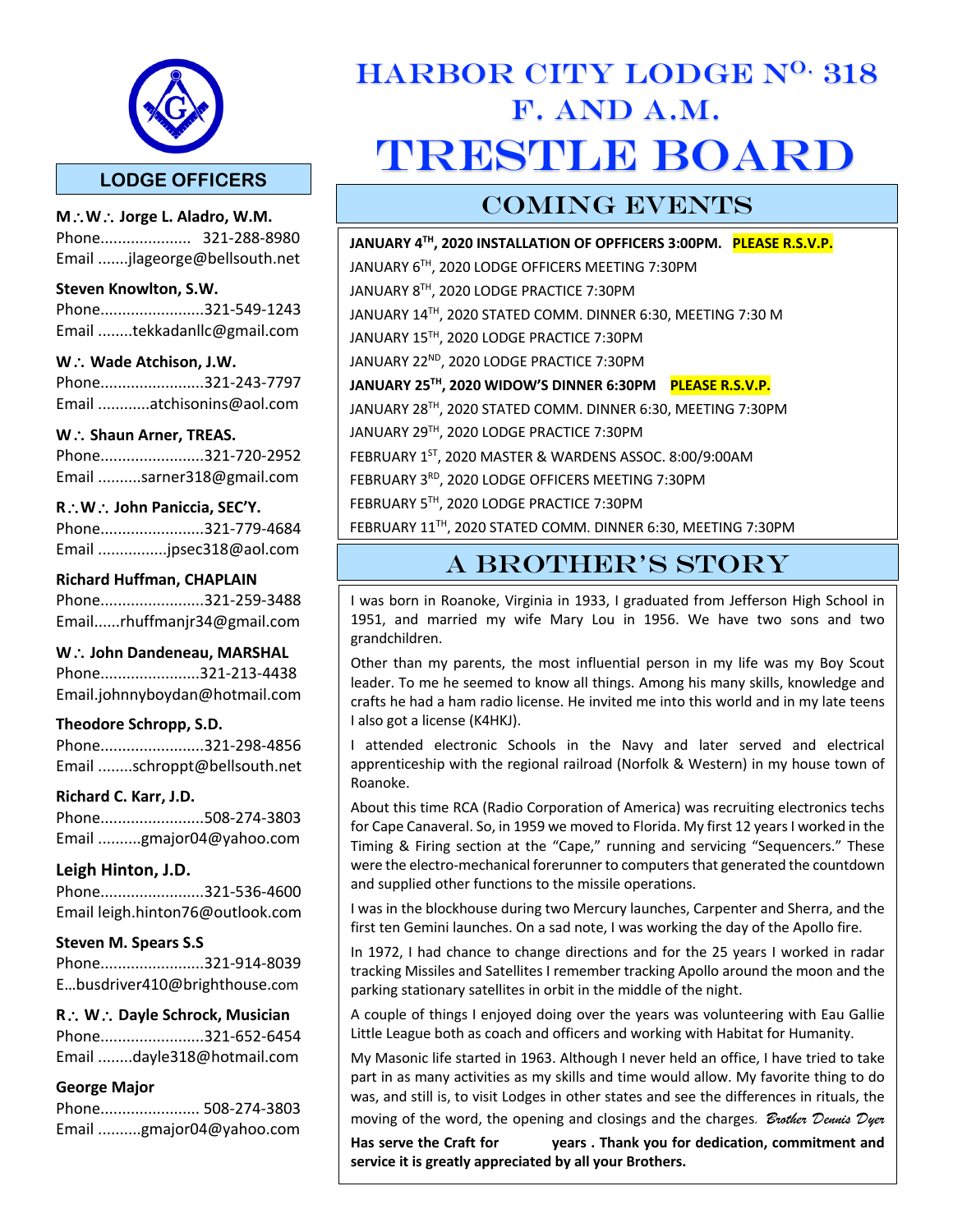

**M**\**W**\ **Jorge L. Aladro, W.M.** Phone..................... 321-288-8980 Email .......jlageorge@bellsouth.net

#### **Steven Knowlton, S.W.**

Phone........................321-549-1243 Email ........tekkadanllc@gmail.com

#### W. **Wade Atchison, J.W.**

Phone........................321-243-7797 Email ............atchisonins@aol.com

#### W.: Shaun Arner, TREAS.

Phone........................321-720-2952 Email ..........sarner318@gmail.com

#### **R**\**W**\ **John Paniccia, SEC'Y.**

Phone........................321-779-4684 Email ................jpsec318@aol.com

#### **Richard Huffman, CHAPLAIN**

Phone........................321-259-3488 Email......rhuffmanjr34@gmail.com

#### W. **John Dandeneau, MARSHAL**

Phone.......................321-213-4438 Email.johnnyboydan@hotmail.com

#### **Theodore Schropp, S.D.**

Phone........................321-298-4856 Email ........schroppt@bellsouth.net

#### **Richard C. Karr, J.D.**

Phone........................508-274-3803 Email ..........gmajor04@yahoo.com

#### **Leigh Hinton, J.D.**

Phone........................321-536-4600 Email leigh.hinton76@outlook.com

#### **Steven M. Spears S.S**

Phone........................321-914-8039 E…busdriver410@brighthouse.com

#### **R**\ **W**\ **Dayle Schrock, Musician**

Phone........................321-652-6454 Email ........dayle318@hotmail.com

#### **George Major**

| Phone 508-274-3803       |
|--------------------------|
| Email gmajor04@yahoo.com |

l

# HARBOR CITY LODGE N<sup>O.</sup> 318 F. AND A.M. TRESTLE BOARD

### COMING EVENTS

**JANUARY 4TH, 2020 INSTALLATION OF OPFFICERS 3:00PM. PLEASE R.S.V.P.** JANUARY 6TH, 2020 LODGE OFFICERS MEETING 7:30PM JANUARY 8TH, 2020 LODGE PRACTICE 7:30PM JANUARY 14TH, 2020 STATED COMM. DINNER 6:30, MEETING 7:30 M JANUARY 15TH, 2020 LODGE PRACTICE 7:30PM JANUARY 22<sup>ND</sup>, 2020 LODGE PRACTICE 7:30PM **JANUARY 25TH, 2020 WIDOW'S DINNER 6:30PM PLEASE R.S.V.P.** JANUARY 28TH, 2020 STATED COMM. DINNER 6:30, MEETING 7:30PM JANUARY 29TH, 2020 LODGE PRACTICE 7:30PM FEBRUARY 1ST, 2020 MASTER & WARDENS ASSOC. 8:00/9:00AM FEBRUARY 3RD, 2020 LODGE OFFICERS MEETING 7:30PM FEBRUARY 5TH, 2020 LODGE PRACTICE 7:30PM FEBRUARY 11TH, 2020 STATED COMM. DINNER 6:30, MEETING 7:30PM

# A BROTHER'S STORY

I was born in Roanoke, Virginia in 1933, I graduated from Jefferson High School in 1951, and married my wife Mary Lou in 1956. We have two sons and two grandchildren.

Other than my parents, the most influential person in my life was my Boy Scout leader. To me he seemed to know all things. Among his many skills, knowledge and crafts he had a ham radio license. He invited me into this world and in my late teens I also got a license (K4HKJ).

I attended electronic Schools in the Navy and later served and electrical apprenticeship with the regional railroad (Norfolk & Western) in my house town of Roanoke.

About this time RCA (Radio Corporation of America) was recruiting electronics techs for Cape Canaveral. So, in 1959 we moved to Florida. My first 12 years I worked in the Timing & Firing section at the "Cape," running and servicing "Sequencers." These were the electro-mechanical forerunner to computers that generated the countdown and supplied other functions to the missile operations.

I was in the blockhouse during two Mercury launches, Carpenter and Sherra, and the first ten Gemini launches. On a sad note, I was working the day of the Apollo fire.

In 1972, I had chance to change directions and for the 25 years I worked in radar tracking Missiles and Satellites I remember tracking Apollo around the moon and the parking stationary satellites in orbit in the middle of the night.

A couple of things I enjoyed doing over the years was volunteering with Eau Gallie Little League both as coach and officers and working with Habitat for Humanity.

My Masonic life started in 1963. Although I never held an office, I have tried to take part in as many activities as my skills and time would allow. My favorite thing to do was, and still is, to visit Lodges in other states and see the differences in rituals, the moving of the word, the opening and closings and the charges*. Brother Dennis Dyer*

**Has serve the Craft for years . Thank you for dedication, commitment and service it is greatly appreciated by all your Brothers.**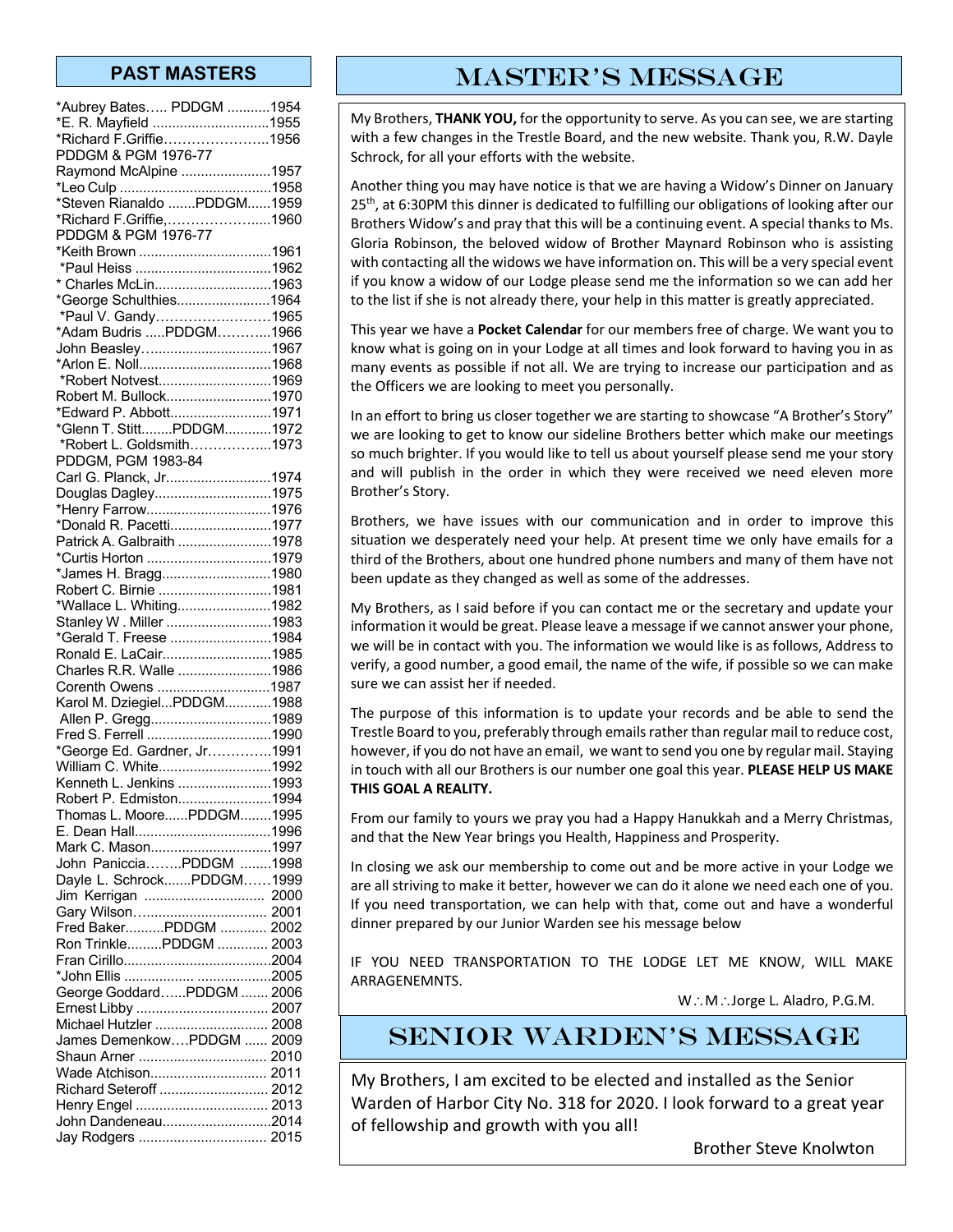| *Aubrey Bates PDDGM 1954                     |  |
|----------------------------------------------|--|
| *E. R. Mayfield 1955                         |  |
| *Richard F.Griffie1956                       |  |
| PDDGM & PGM 1976-77                          |  |
| Raymond McAlpine 1957                        |  |
|                                              |  |
| *Steven Rianaldo PDDGM1959                   |  |
| *Richard F.Griffie,1960                      |  |
| PDDGM & PGM 1976-77                          |  |
| *Keith Brown 1961                            |  |
|                                              |  |
| * Charles McLin1963                          |  |
| *George Schulthies1964                       |  |
|                                              |  |
| *Paul V. Gandy1965<br>*Adam Budris PDDGM1966 |  |
| John Beasley1967                             |  |
|                                              |  |
| *Robert Notvest1969                          |  |
| Robert M. Bullock1970                        |  |
| *Edward P. Abbott1971                        |  |
| *Glenn T. StittPDDGM1972                     |  |
| *Robert L. Goldsmith1973                     |  |
| PDDGM, PGM 1983-84                           |  |
|                                              |  |
| Carl G. Planck, Jr1974                       |  |
| Douglas Dagley1975                           |  |
| *Henry Farrow1976                            |  |
| *Donald R. Pacetti1977                       |  |
| Patrick A. Galbraith 1978                    |  |
| *Curtis Horton 1979                          |  |
| *James H. Bragg1980                          |  |
| Robert C. Birnie 1981                        |  |
| *Wallace L. Whiting1982                      |  |
| Stanley W. Miller 1983                       |  |
| *Gerald T. Freese 1984                       |  |
| Ronald E. LaCair1985                         |  |
| Charles R.R. Walle 1986                      |  |
| Corenth Owens 1987                           |  |
| Karol M. DziegielPDDGM1988                   |  |
| Allen P. Gregg1989                           |  |
|                                              |  |
| *George Ed. Gardner, Jr1991                  |  |
| William C. White1992                         |  |
| Kenneth L. Jenkins 1993                      |  |
| Robert P. Edmiston1994                       |  |
| Thomas L. MoorePDDGM1995                     |  |
|                                              |  |
| Mark C. Mason1997                            |  |
| John PanicciaPDDGM 1998                      |  |
| Dayle L. SchrockPDDGM1999                    |  |
| Jim Kerrigan  2000                           |  |
| Gary Wilson 2001                             |  |
| Fred BakerPDDGM  2002                        |  |
| Ron TrinklePDDGM  2003                       |  |
|                                              |  |
|                                              |  |
|                                              |  |
| George GoddardPDDGM  2006                    |  |
| Michael Hutzler  2008                        |  |
|                                              |  |
|                                              |  |
| James DemenkowPDDGM  2009                    |  |
| Shaun Arner  2010                            |  |
| Wade Atchison 2011                           |  |
| Richard Seteroff  2012                       |  |
| Henry Engel  2013                            |  |
| John Dandeneau2014<br>Jay Rodgers  2015      |  |

### **PAST MASTERS THE MASTER'S MESSAGE**

My Brothers, **THANK YOU,** for the opportunity to serve. As you can see, we are starting with a few changes in the Trestle Board, and the new website. Thank you, R.W. Dayle Schrock, for all your efforts with the website.

Another thing you may have notice is that we are having a Widow's Dinner on January 25<sup>th</sup>, at 6:30PM this dinner is dedicated to fulfilling our obligations of looking after our Brothers Widow's and pray that this will be a continuing event. A special thanks to Ms. Gloria Robinson, the beloved widow of Brother Maynard Robinson who is assisting with contacting all the widows we have information on. This will be a very special event if you know a widow of our Lodge please send me the information so we can add her to the list if she is not already there, your help in this matter is greatly appreciated.

This year we have a **Pocket Calendar** for our members free of charge. We want you to know what is going on in your Lodge at all times and look forward to having you in as many events as possible if not all. We are trying to increase our participation and as the Officers we are looking to meet you personally.

In an effort to bring us closer together we are starting to showcase "A Brother's Story" we are looking to get to know our sideline Brothers better which make our meetings so much brighter. If you would like to tell us about yourself please send me your story and will publish in the order in which they were received we need eleven more Brother's Story.

Brothers, we have issues with our communication and in order to improve this situation we desperately need your help. At present time we only have emails for a third of the Brothers, about one hundred phone numbers and many of them have not been update as they changed as well as some of the addresses.

My Brothers, as I said before if you can contact me or the secretary and update your information it would be great. Please leave a message if we cannot answer your phone, we will be in contact with you. The information we would like is as follows, Address to verify, a good number, a good email, the name of the wife, if possible so we can make sure we can assist her if needed.

The purpose of this information is to update your records and be able to send the Trestle Board to you, preferably through emails rather than regular mail to reduce cost, however, if you do not have an email, we want to send you one by regular mail. Staying in touch with all our Brothers is our number one goal this year. **PLEASE HELP US MAKE THIS GOAL A REALITY.**

From our family to yours we pray you had a Happy Hanukkah and a Merry Christmas, and that the New Year brings you Health, Happiness and Prosperity.

In closing we ask our membership to come out and be more active in your Lodge we are all striving to make it better, however we can do it alone we need each one of you. If you need transportation, we can help with that, come out and have a wonderful dinner prepared by our Junior Warden see his message below

IF YOU NEED TRANSPORTATION TO THE LODGE LET ME KNOW, WILL MAKE ARRAGENEMNTS.

W∴M∴Jorge L. Aladro, P.G.M.

# Senior Warden's message

My Brothers, I am excited to be elected and installed as the Senior Warden of Harbor City No. 318 for 2020. I look forward to a great year of fellowship and growth with you all!

Brother Steve Knolwton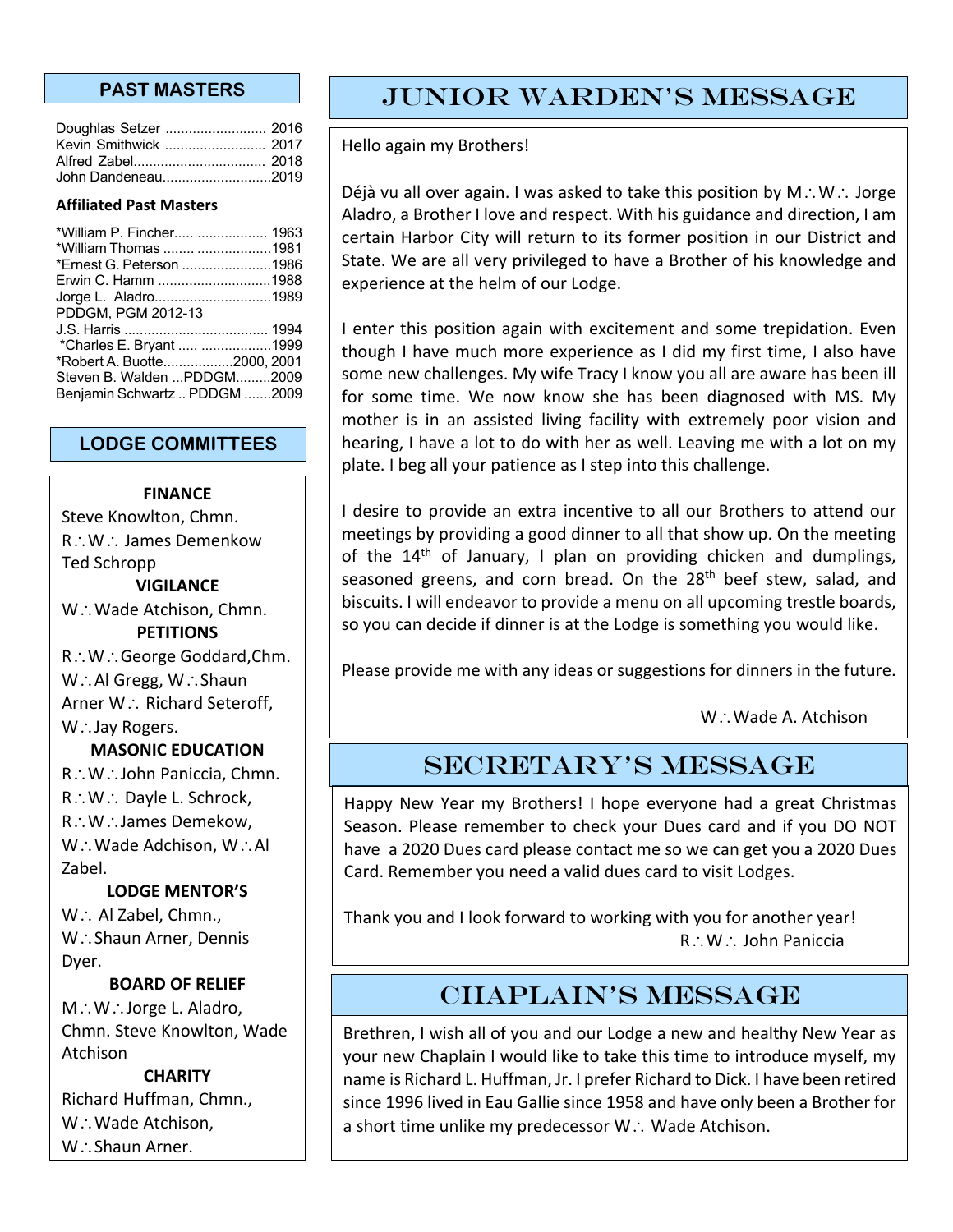| Doughlas Setzer  2016 |  |
|-----------------------|--|
| Kevin Smithwick  2017 |  |
|                       |  |
| John Dandeneau2019    |  |

#### **Affiliated Past Masters**

| *William P. Fincher  1963<br>*William Thomas  1981<br>*Ernest G. Peterson 1986<br>Erwin C. Hamm 1988<br>Jorge L. Aladro1989 |  |
|-----------------------------------------------------------------------------------------------------------------------------|--|
| PDDGM, PGM 2012-13                                                                                                          |  |
| *Charles E. Bryant  1999                                                                                                    |  |
| *Robert A. Buotte2000, 2001                                                                                                 |  |
| Steven B. Walden PDDGM2009                                                                                                  |  |
| Benjamin Schwartz  PDDGM 2009                                                                                               |  |

#### **LODGE COMMITTEES**

#### **FINANCE**

Steve Knowlton, Chmn. R .: W .: James Demenkow Ted Schropp **VIGILANCE**

W.: Wade Atchison, Chmn.

**PETITIONS**

R∴W∴George Goddard,Chm.  $W:$  Al Gregg,  $W:$  Shaun

Arner W∴ Richard Seteroff,

 $W:$  Jay Rogers.

#### **MASONIC EDUCATION**

R∴W∴John Paniccia, Chmn.  $R\colon W\colon D$ ayle L. Schrock, R .: W .: James Demekow,  $W\mathcal{N}\cup$  Wade Adchison,  $W\mathcal{N}\cup$  Al Zabel.

#### **LODGE MENTOR'S**

W .. Al Zabel, Chmn., W.: Shaun Arner, Dennis Dyer.

#### **BOARD OF RELIEF**

 $M\ddot{\cdot}$ . W $\ddot{\cdot}$ . Jorge L. Aladro, Chmn. Steve Knowlton, Wade Atchison

#### **CHARITY**

Richard Huffman, Chmn., W.: Wade Atchison,  $W:$  Shaun Arner.

# **PAST MASTERS FUNIOR WARDEN'S MESSAGE**

Hello again my Brothers!

Déjà vu all over again. I was asked to take this position by  $M\ddot{\otimes}N\ddot{\otimes}N$ Aladro, a Brother I love and respect. With his guidance and direction, I am certain Harbor City will return to its former position in our District and State. We are all very privileged to have a Brother of his knowledge and experience at the helm of our Lodge.

I enter this position again with excitement and some trepidation. Even though I have much more experience as I did my first time, I also have some new challenges. My wife Tracy I know you all are aware has been ill for some time. We now know she has been diagnosed with MS. My mother is in an assisted living facility with extremely poor vision and hearing, I have a lot to do with her as well. Leaving me with a lot on my plate. I beg all your patience as I step into this challenge.

I desire to provide an extra incentive to all our Brothers to attend our meetings by providing a good dinner to all that show up. On the meeting of the  $14<sup>th</sup>$  of January, I plan on providing chicken and dumplings, seasoned greens, and corn bread. On the 28<sup>th</sup> beef stew, salad, and biscuits. I will endeavor to provide a menu on all upcoming trestle boards, so you can decide if dinner is at the Lodge is something you would like.

Please provide me with any ideas or suggestions for dinners in the future.

W.: Wade A. Atchison

### SECRETARY'S MESSAGE

Happy New Year my Brothers! I hope everyone had a great Christmas Season. Please remember to check your Dues card and if you DO NOT have a 2020 Dues card please contact me so we can get you a 2020 Dues Card. Remember you need a valid dues card to visit Lodges.

Thank you and I look forward to working with you for another year!  $R\colon W\colon$  John Paniccia

## CHAPLAIN'S MESSAGE

Brethren, I wish all of you and our Lodge a new and healthy New Year as your new Chaplain I would like to take this time to introduce myself, my name is Richard L. Huffman, Jr. I prefer Richard to Dick. I have been retired since 1996 lived in Eau Gallie since 1958 and have only been a Brother for a short time unlike my predecessor  $W \cdot M$  Wade Atchison.